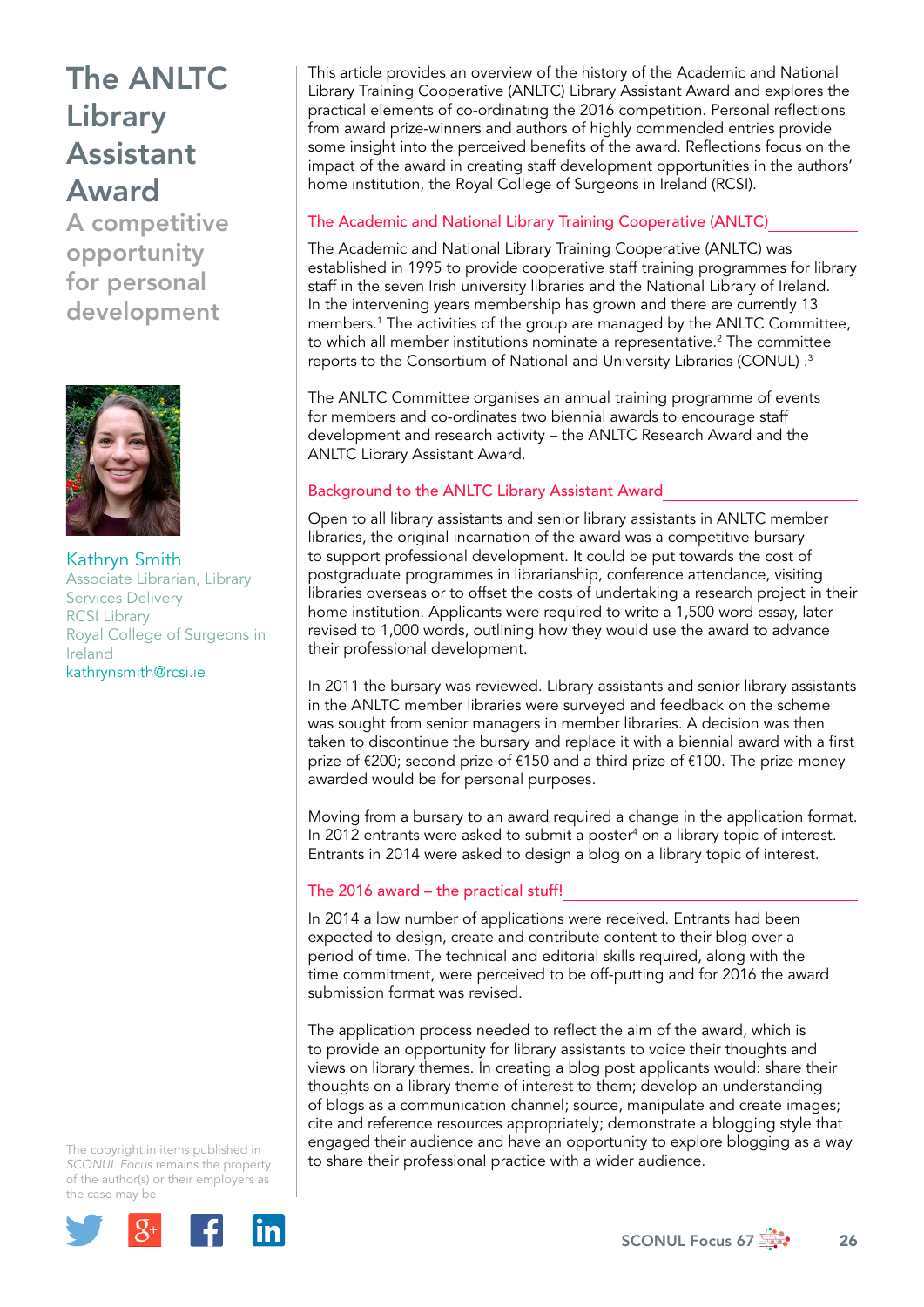A competitive opportunity for personal development



Kathryn Smith Associate Librarian, Library Services Delivery RCSI Library Royal College of Surgeons in Ireland [kathrynsmith@rcsi.ie](mailto:kathrynsmith@rcsi.ie)

The copyright in items published in *SCONUL Focus* remains the property of the author(s) or their employers as the case may be.



This article provides an overview of the history of the Academic and National Library Training Cooperative (ANLTC) Library Assistant Award and explores the practical elements of co-ordinating the 2016 competition. Personal reflections from award prize-winners and authors of highly commended entries provide some insight into the perceived benefits of the award. Reflections focus on the impact of the award in creating staff development opportunities in the authors' home institution, the Royal College of Surgeons in Ireland (RCSI).

## The Academic and National Library Training Cooperative (ANLTC)

The Academic and National Library Training Cooperative (ANLTC) was established in 1995 to provide cooperative staff training programmes for library staff in the seven Irish university libraries and the National Library of Ireland. In the intervening years membership has grown and there are currently 13 members.1 The activities of the group are managed by the ANLTC Committee, to which all member institutions nominate a representative.<sup>2</sup> The committee reports to the Consortium of National and University Libraries (CONUL) .3

The ANLTC Committee organises an annual training programme of events for members and co-ordinates two biennial awards to encourage staff development and research activity – the ANLTC Research Award and the ANLTC Library Assistant Award.

#### Background to the ANLTC Library Assistant Award

Open to all library assistants and senior library assistants in ANLTC member libraries, the original incarnation of the award was a competitive bursary to support professional development. It could be put towards the cost of postgraduate programmes in librarianship, conference attendance, visiting libraries overseas or to offset the costs of undertaking a research project in their home institution. Applicants were required to write a 1,500 word essay, later revised to 1,000 words, outlining how they would use the award to advance their professional development.

In 2011 the bursary was reviewed. Library assistants and senior library assistants in the ANLTC member libraries were surveyed and feedback on the scheme was sought from senior managers in member libraries. A decision was then taken to discontinue the bursary and replace it with a biennial award with a first prize of €200; second prize of €150 and a third prize of €100. The prize money awarded would be for personal purposes.

Moving from a bursary to an award required a change in the application format. In 2012 entrants were asked to submit a poster<sup>4</sup> on a library topic of interest. Entrants in 2014 were asked to design a blog on a library topic of interest.

## The 2016 award – the practical stuff!

In 2014 a low number of applications were received. Entrants had been expected to design, create and contribute content to their blog over a period of time. The technical and editorial skills required, along with the time commitment, were perceived to be off-putting and for 2016 the award submission format was revised.

The application process needed to reflect the aim of the award, which is to provide an opportunity for library assistants to voice their thoughts and views on library themes. In creating a blog post applicants would: share their thoughts on a library theme of interest to them; develop an understanding of blogs as a communication channel; source, manipulate and create images; cite and reference resources appropriately; demonstrate a blogging style that engaged their audience and have an opportunity to explore blogging as a way to share their professional practice with a wider audience.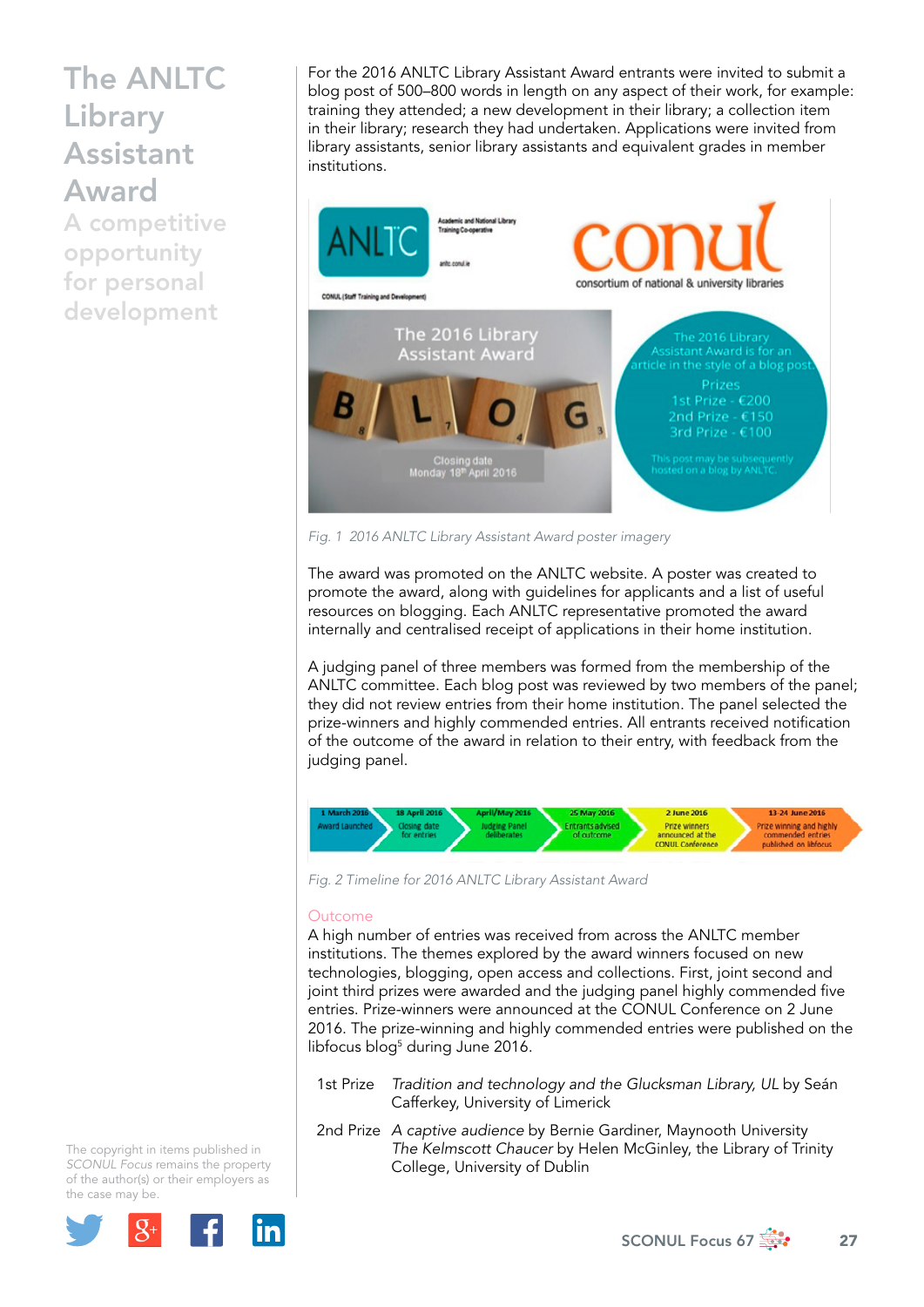A competitive opportunity for personal development

For the 2016 ANLTC Library Assistant Award entrants were invited to submit a blog post of 500–800 words in length on any aspect of their work, for example: training they attended; a new development in their library; a collection item in their library; research they had undertaken. Applications were invited from library assistants, senior library assistants and equivalent grades in member institutions.



*Fig. 1 2016 ANLTC Library Assistant Award poster imagery* 

The award was promoted on the ANLTC website. A poster was created to promote the award, along with guidelines for applicants and a list of useful resources on blogging. Each ANLTC representative promoted the award internally and centralised receipt of applications in their home institution.

A judging panel of three members was formed from the membership of the ANLTC committee. Each blog post was reviewed by two members of the panel; they did not review entries from their home institution. The panel selected the prize-winners and highly commended entries. All entrants received notification of the outcome of the award in relation to their entry, with feedback from the judging panel.



*Fig. 2 Timeline for 2016 ANLTC Library Assistant Award* 

#### **Outcome**

A high number of entries was received from across the ANLTC member institutions. The themes explored by the award winners focused on new technologies, blogging, open access and collections. First, joint second and joint third prizes were awarded and the judging panel highly commended five entries. Prize-winners were announced at the CONUL Conference on 2 June 2016. The prize-winning and highly commended entries were published on the libfocus blog<sup>5</sup> during June 2016.

- 1st Prize *Tradition and technology and the Glucksman Library, UL* by Seán Cafferkey, University of Limerick
- 2nd Prize *A captive audience* by Bernie Gardiner, Maynooth University *The Kelmscott Chaucer* by Helen McGinley, the Library of Trinity College, University of Dublin

The copyright in items published in *SCONUL Focus* remains the property of the author(s) or their employers as the case may be.

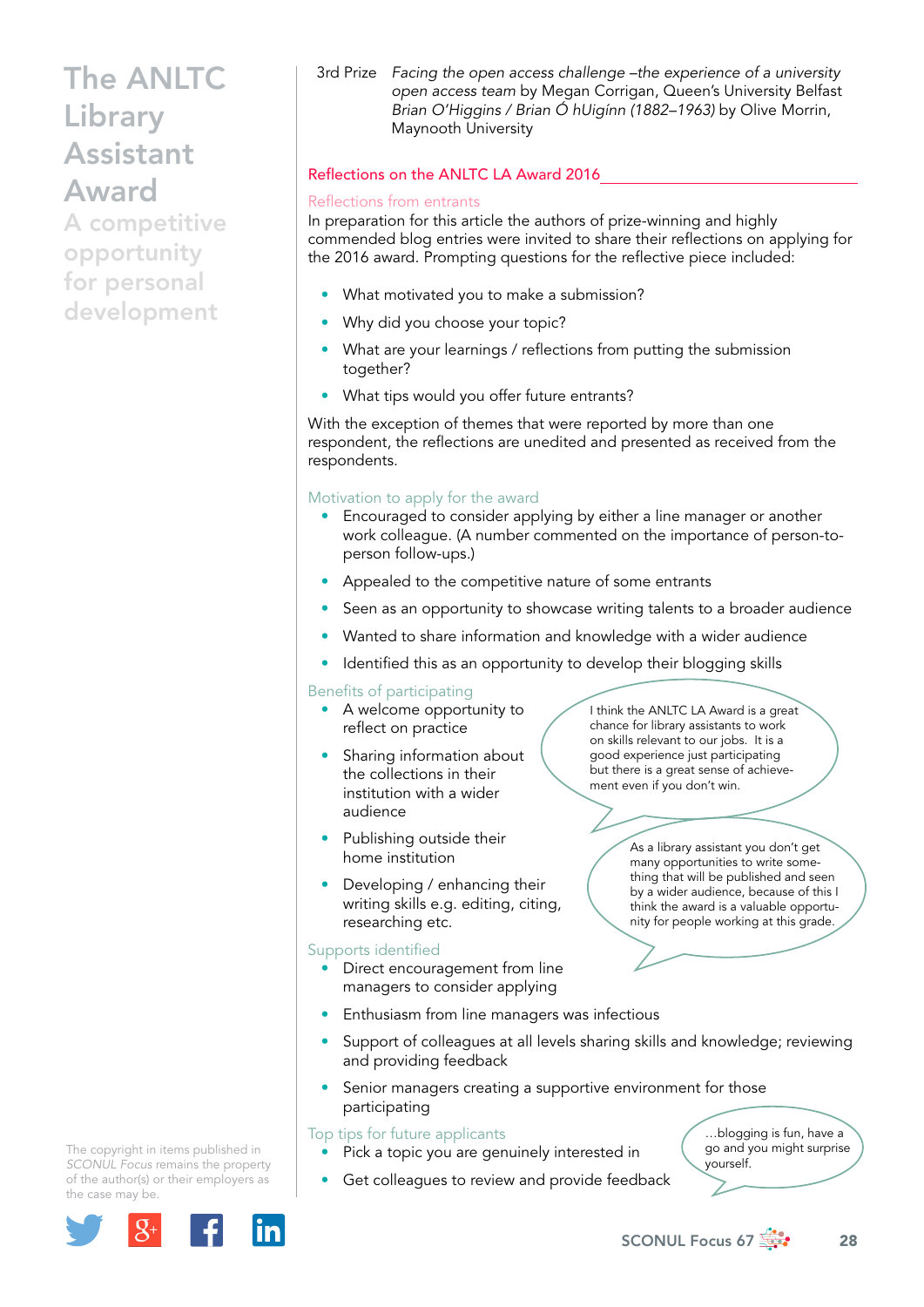A competitive opportunity for personal development

3rd Prize *Facing the open access challenge –the experience of a university open access team* by Megan Corrigan, Queen's University Belfast *Brian O'Higgins / Brian Ó hUigínn (1882–1963)* by Olive Morrin, Maynooth University

### Reflections on the ANLTC LA Award 2016

#### Reflections from entrants

In preparation for this article the authors of prize-winning and highly commended blog entries were invited to share their reflections on applying for the 2016 award. Prompting questions for the reflective piece included:

- What motivated you to make a submission?
- Why did you choose your topic?
- What are your learnings / reflections from putting the submission together?
- What tips would you offer future entrants?

With the exception of themes that were reported by more than one respondent, the reflections are unedited and presented as received from the respondents.

#### Motivation to apply for the award

- Encouraged to consider applying by either a line manager or another work colleague. (A number commented on the importance of person-toperson follow-ups.)
- Appealed to the competitive nature of some entrants
- Seen as an opportunity to showcase writing talents to a broader audience
- Wanted to share information and knowledge with a wider audience
- Identified this as an opportunity to develop their blogging skills

#### Benefits of participating

- A welcome opportunity to reflect on practice
- Sharing information about the collections in their institution with a wider audience
- Publishing outside their home institution
- Developing / enhancing their writing skills e.g. editing, citing, researching etc.

### Supports identified

- Direct encouragement from line managers to consider applying
- Enthusiasm from line managers was infectious
- Support of colleagues at all levels sharing skills and knowledge; reviewing and providing feedback
- Senior managers creating a supportive environment for those participating

#### Top tips for future applicants

- Pick a topic you are genuinely interested in
- Get colleagues to review and provide feedback

…blogging is fun, have a go and you might surprise yourself.

The copyright in items published in *SCONUL Focus* remains the property of the author(s) or their employers as the case may be.



I think the ANLTC LA Award is a great chance for library assistants to work on skills relevant to our jobs. It is a good experience just participating but there is a great sense of achievement even if you don't win.

> As a library assistant you don't get many opportunities to write something that will be published and seen by a wider audience, because of this I think the award is a valuable opportunity for people working at this grade.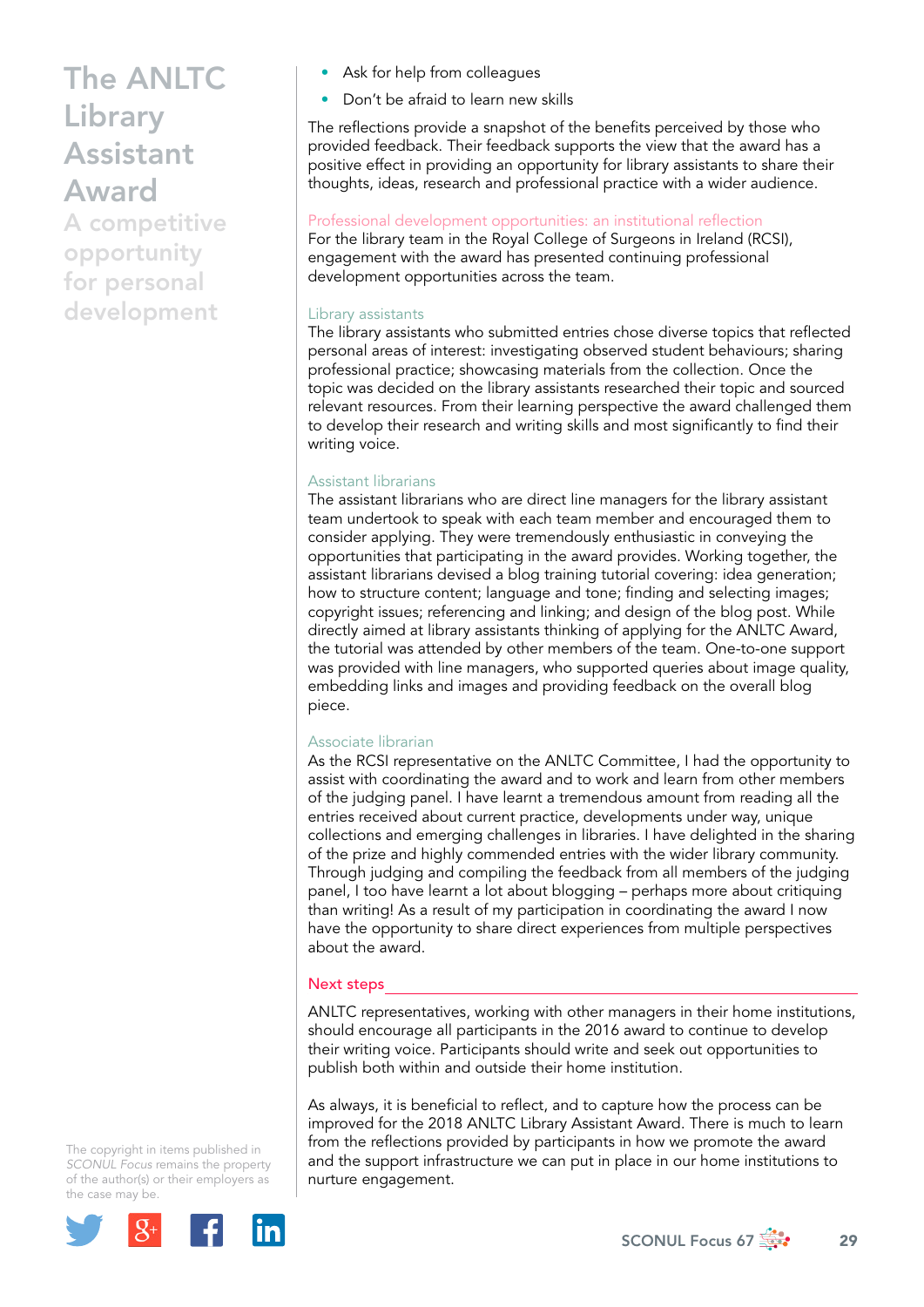A competitive opportunity for personal development

- Ask for help from colleagues
- Don't be afraid to learn new skills

The reflections provide a snapshot of the benefits perceived by those who provided feedback. Their feedback supports the view that the award has a positive effect in providing an opportunity for library assistants to share their thoughts, ideas, research and professional practice with a wider audience.

Professional development opportunities: an institutional reflection

For the library team in the Royal College of Surgeons in Ireland (RCSI), engagement with the award has presented continuing professional development opportunities across the team.

## Library assistants

The library assistants who submitted entries chose diverse topics that reflected personal areas of interest: investigating observed student behaviours; sharing professional practice; showcasing materials from the collection. Once the topic was decided on the library assistants researched their topic and sourced relevant resources. From their learning perspective the award challenged them to develop their research and writing skills and most significantly to find their writing voice.

## Assistant librarians

The assistant librarians who are direct line managers for the library assistant team undertook to speak with each team member and encouraged them to consider applying. They were tremendously enthusiastic in conveying the opportunities that participating in the award provides. Working together, the assistant librarians devised a blog training tutorial covering: idea generation; how to structure content; language and tone; finding and selecting images; copyright issues; referencing and linking; and design of the blog post. While directly aimed at library assistants thinking of applying for the ANLTC Award, the tutorial was attended by other members of the team. One-to-one support was provided with line managers, who supported queries about image quality, embedding links and images and providing feedback on the overall blog piece.

## Associate librarian

As the RCSI representative on the ANLTC Committee, I had the opportunity to assist with coordinating the award and to work and learn from other members of the judging panel. I have learnt a tremendous amount from reading all the entries received about current practice, developments under way, unique collections and emerging challenges in libraries. I have delighted in the sharing of the prize and highly commended entries with the wider library community. Through judging and compiling the feedback from all members of the judging panel, I too have learnt a lot about blogging – perhaps more about critiquing than writing! As a result of my participation in coordinating the award I now have the opportunity to share direct experiences from multiple perspectives about the award.

#### Next steps

ANLTC representatives, working with other managers in their home institutions, should encourage all participants in the 2016 award to continue to develop their writing voice. Participants should write and seek out opportunities to publish both within and outside their home institution.

As always, it is beneficial to reflect, and to capture how the process can be improved for the 2018 ANLTC Library Assistant Award. There is much to learn from the reflections provided by participants in how we promote the award and the support infrastructure we can put in place in our home institutions to nurture engagement.

The copyright in items published in *SCONUL Focus* remains the property of the author(s) or their employers as the case may be.



SCONUL Focus 67 $\frac{1}{200}$  29